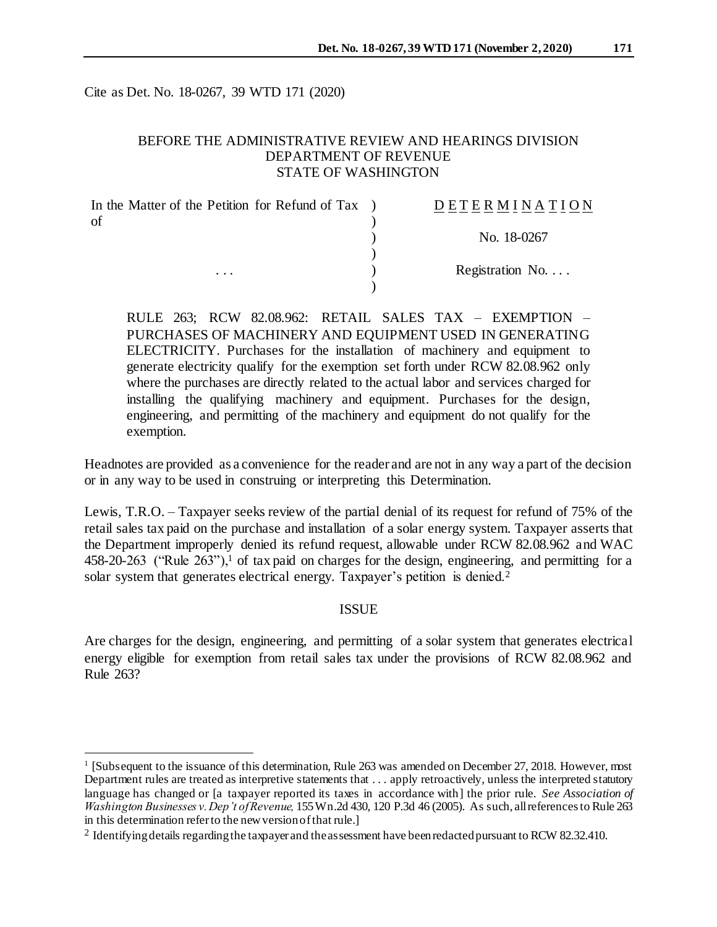Cite as Det. No. 18-0267, 39 WTD 171 (2020)

l

# BEFORE THE ADMINISTRATIVE REVIEW AND HEARINGS DIVISION DEPARTMENT OF REVENUE STATE OF WASHINGTON

| In the Matter of the Petition for Refund of Tax | DETERMINATION            |
|-------------------------------------------------|--------------------------|
| of                                              |                          |
|                                                 | No. 18-0267              |
|                                                 |                          |
| $\cdots$                                        | Registration No. $\dots$ |
|                                                 |                          |

RULE 263; RCW 82.08.962: RETAIL SALES TAX – EXEMPTION – PURCHASES OF MACHINERY AND EQUIPMENT USED IN GENERATING ELECTRICITY. Purchases for the installation of machinery and equipment to generate electricity qualify for the exemption set forth under RCW 82.08.962 only where the purchases are directly related to the actual labor and services charged for installing the qualifying machinery and equipment. Purchases for the design, engineering, and permitting of the machinery and equipment do not qualify for the exemption.

Headnotes are provided as a convenience for the reader and are not in any way a part of the decision or in any way to be used in construing or interpreting this Determination.

Lewis, T.R.O. – Taxpayer seeks review of the partial denial of its request for refund of 75% of the retail sales tax paid on the purchase and installation of a solar energy system. Taxpayer asserts that the Department improperly denied its refund request, allowable under RCW 82.08.962 and WAC 458-20-263 ("Rule  $263$ "),<sup>1</sup> of tax paid on charges for the design, engineering, and permitting for a solar system that generates electrical energy. Taxpayer's petition is denied.<sup>2</sup>

### **ISSUE**

Are charges for the design, engineering, and permitting of a solar system that generates electrical energy eligible for exemption from retail sales tax under the provisions of RCW 82.08.962 and Rule 263?

<sup>&</sup>lt;sup>1</sup> [Subsequent to the issuance of this determination, Rule 263 was amended on December 27, 2018. However, most Department rules are treated as interpretive statements that . . . apply retroactively, unless the interpreted statutory language has changed or [a taxpayer reported its taxes in accordance with] the prior rule. *See Association of Washington Businesses v. Dep't of Revenue,* 155 Wn.2d 430, 120 P.3d 46 (2005). As such, all references to Rule 263 in this determination refer to the new version of that rule.]

<sup>&</sup>lt;sup>2</sup> Identifying details regarding the taxpayer and the assessment have been redacted pursuant to RCW 82.32.410.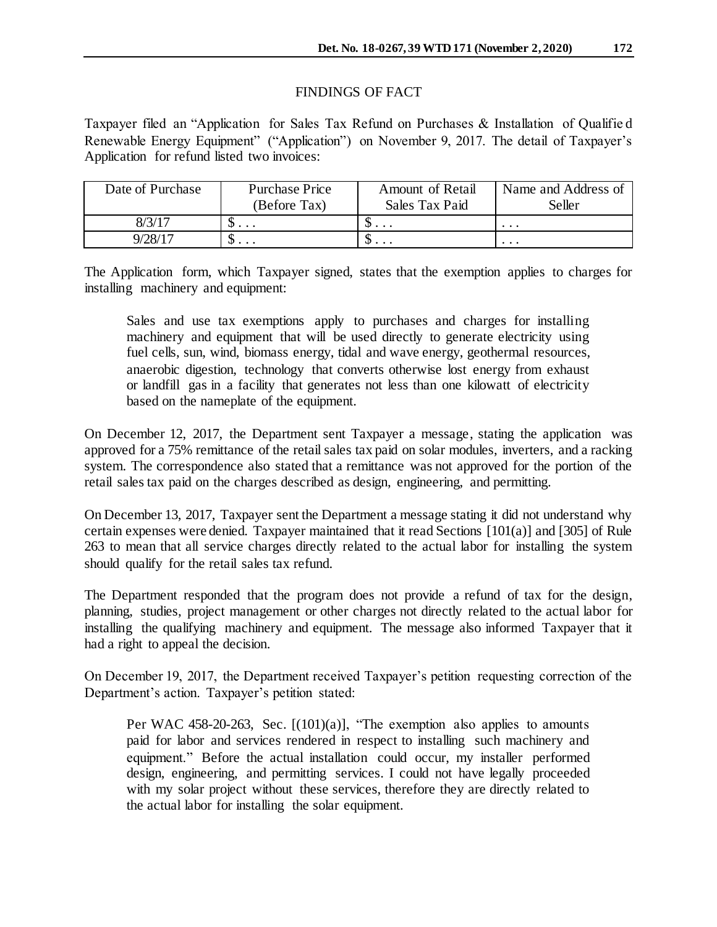## FINDINGS OF FACT

Taxpayer filed an "Application for Sales Tax Refund on Purchases & Installation of Qualifie d Renewable Energy Equipment" ("Application") on November 9, 2017. The detail of Taxpayer's Application for refund listed two invoices:

| Date of Purchase      | <b>Purchase Price</b>    | Amount of Retail             | Name and Address of |
|-----------------------|--------------------------|------------------------------|---------------------|
|                       | (Before Tax)             | Sales Tax Paid               | Seller              |
| $8/3/1$ <sup>-7</sup> | υ.                       | w<br>$\cdot$ $\cdot$ $\cdot$ | $\cdot$             |
| $9/28/1$ <sup>-</sup> | $\cup \cdot \cdot \cdot$ | $\cdots$                     | $\cdots$            |

The Application form, which Taxpayer signed, states that the exemption applies to charges for installing machinery and equipment:

Sales and use tax exemptions apply to purchases and charges for installing machinery and equipment that will be used directly to generate electricity using fuel cells, sun, wind, biomass energy, tidal and wave energy, geothermal resources, anaerobic digestion, technology that converts otherwise lost energy from exhaust or landfill gas in a facility that generates not less than one kilowatt of electricity based on the nameplate of the equipment.

On December 12, 2017, the Department sent Taxpayer a message, stating the application was approved for a 75% remittance of the retail sales tax paid on solar modules, inverters, and a racking system. The correspondence also stated that a remittance was not approved for the portion of the retail sales tax paid on the charges described as design, engineering, and permitting.

On December 13, 2017, Taxpayer sent the Department a message stating it did not understand why certain expenses were denied. Taxpayer maintained that it read Sections [101(a)] and [305] of Rule 263 to mean that all service charges directly related to the actual labor for installing the system should qualify for the retail sales tax refund.

The Department responded that the program does not provide a refund of tax for the design, planning, studies, project management or other charges not directly related to the actual labor for installing the qualifying machinery and equipment. The message also informed Taxpayer that it had a right to appeal the decision.

On December 19, 2017, the Department received Taxpayer's petition requesting correction of the Department's action. Taxpayer's petition stated:

Per WAC 458-20-263, Sec. [(101)(a)], "The exemption also applies to amounts paid for labor and services rendered in respect to installing such machinery and equipment." Before the actual installation could occur, my installer performed design, engineering, and permitting services. I could not have legally proceeded with my solar project without these services, therefore they are directly related to the actual labor for installing the solar equipment.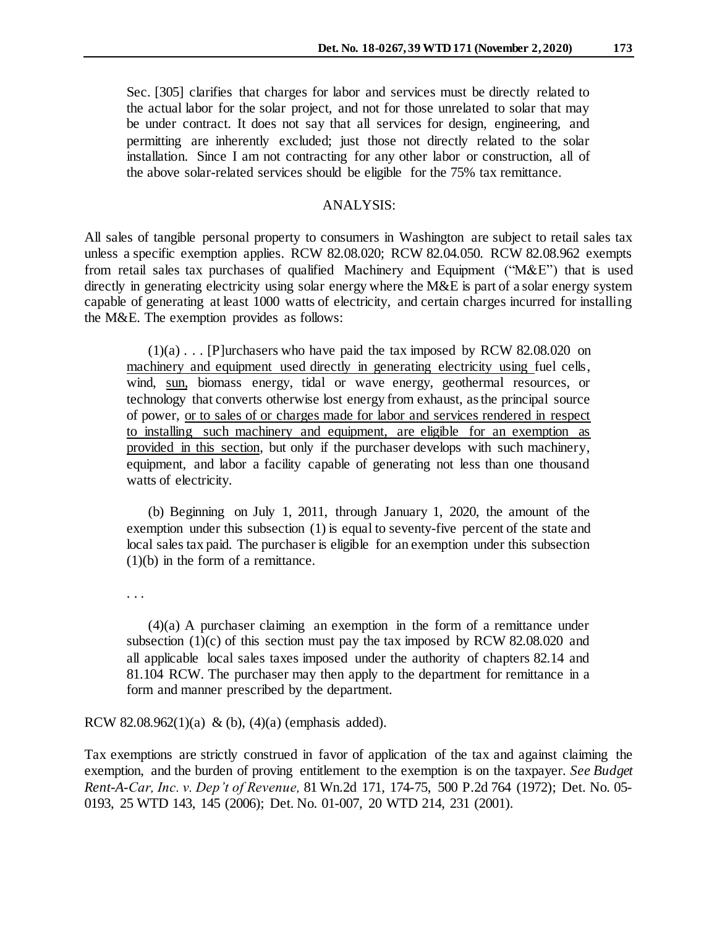Sec. [305] clarifies that charges for labor and services must be directly related to the actual labor for the solar project, and not for those unrelated to solar that may be under contract. It does not say that all services for design, engineering, and permitting are inherently excluded; just those not directly related to the solar installation. Since I am not contracting for any other labor or construction, all of the above solar-related services should be eligible for the 75% tax remittance.

## ANALYSIS:

All sales of tangible personal property to consumers in Washington are subject to retail sales tax unless a specific exemption applies. RCW 82.08.020; RCW 82.04.050. RCW 82.08.962 exempts from retail sales tax purchases of qualified Machinery and Equipment ("M&E") that is used directly in generating electricity using solar energy where the M&E is part of a solar energy system capable of generating at least 1000 watts of electricity, and certain charges incurred for installing the M&E. The exemption provides as follows:

 $(1)(a)$ ... [P]urchasers who have paid the tax imposed by RCW 82.08.020 on machinery and equipment used directly in generating electricity using fuel cells, wind, sun, biomass energy, tidal or wave energy, geothermal resources, or technology that converts otherwise lost energy from exhaust, as the principal source of power, or to sales of or charges made for labor and services rendered in respect to installing such machinery and equipment, are eligible for an exemption as provided in this section, but only if the purchaser develops with such machinery, equipment, and labor a facility capable of generating not less than one thousand watts of electricity.

(b) Beginning on July 1, 2011, through January 1, 2020, the amount of the exemption under this subsection (1) is equal to seventy-five percent of the state and local sales tax paid. The purchaser is eligible for an exemption under this subsection (1)(b) in the form of a remittance.

. . .

(4)(a) A purchaser claiming an exemption in the form of a remittance under subsection  $(1)(c)$  of this section must pay the tax imposed by RCW 82.08.020 and all applicable local sales taxes imposed under the authority of chapters 82.14 and 81.104 RCW. The purchaser may then apply to the department for remittance in a form and manner prescribed by the department.

#### RCW 82.08.962(1)(a) & (b), (4)(a) (emphasis added).

Tax exemptions are strictly construed in favor of application of the tax and against claiming the exemption, and the burden of proving entitlement to the exemption is on the taxpayer. *See Budget Rent-A-Car, Inc. v. Dep't of Revenue,* 81 Wn.2d 171, 174-75, 500 P.2d 764 (1972); Det. No. 05- 0193, 25 WTD 143, 145 (2006); Det. No. 01-007, 20 WTD 214, 231 (2001).